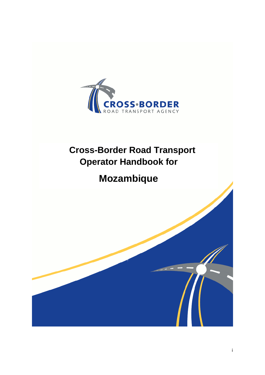

# **Cross-Border Road Transport Operator Handbook for**

# **Mozambique**

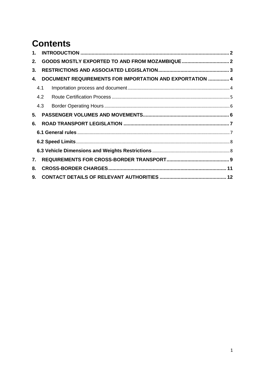# **Contents**

| $1_{-}$ |     |                                                          |  |  |  |  |
|---------|-----|----------------------------------------------------------|--|--|--|--|
| 2.      |     |                                                          |  |  |  |  |
| 3.      |     |                                                          |  |  |  |  |
| 4.      |     | DOCUMENT REQUIREMENTS FOR IMPORTATION AND EXPORTATION  4 |  |  |  |  |
|         | 4.1 |                                                          |  |  |  |  |
|         | 4.2 |                                                          |  |  |  |  |
|         | 4.3 |                                                          |  |  |  |  |
| 5.      |     |                                                          |  |  |  |  |
| 6.      |     |                                                          |  |  |  |  |
|         |     |                                                          |  |  |  |  |
|         |     |                                                          |  |  |  |  |
|         |     |                                                          |  |  |  |  |
| 7.      |     |                                                          |  |  |  |  |
| 8.      |     |                                                          |  |  |  |  |
| 9.      |     |                                                          |  |  |  |  |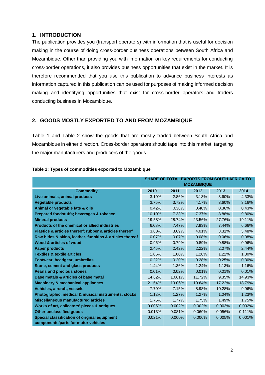## <span id="page-2-0"></span>**1. INTRODUCTION**

The publication provides you (transport operators) with information that is useful for decision making in the course of doing cross-border business operations between South Africa and Mozambique. Other than providing you with information on key requirements for conducting cross-border operations, it also provides business opportunities that exist in the market. It is therefore recommended that you use this publication to advance business interests as information captured in this publication can be used for purposes of making informed decision making and identifying opportunities that exist for cross-border operators and traders conducting business in Mozambique.

### <span id="page-2-1"></span>**2. GOODS MOSTLY EXPORTED TO AND FROM MOZAMBIQUE**

Table 1 and Table 2 show the goods that are mostly traded between South Africa and Mozambique in either direction. Cross-border operators should tape into this market, targeting the major manufacturers and producers of the goods.

|                                                          | <b>SHARE OF TOTAL EXPORTS FROM SOUTH AFRICA TO</b><br><b>MOZAMBIQUE</b> |           |        |        |        |
|----------------------------------------------------------|-------------------------------------------------------------------------|-----------|--------|--------|--------|
| <b>Commodity</b>                                         | 2010                                                                    | 2011      | 2012   | 2013   | 2014   |
| Live animals, animal products                            | 3.10%                                                                   | 2.86%     | 3.13%  | 3.60%  | 4.33%  |
| <b>Vegetable products</b>                                | 3.75%                                                                   | 3.72%     | 4.17%  | 3.60%  | 3.16%  |
| Animal or vegetable fats & oils                          | 0.42%                                                                   | 0.38%     | 0.40%  | 0.36%  | 0.43%  |
| <b>Prepared foodstuffs; beverages &amp; tobacco</b>      | 10.10%                                                                  | 7.33%     | 7.37%  | 8.88%  | 9.80%  |
| <b>Mineral products</b>                                  | 19.58%                                                                  | 28.74%    | 23.56% | 27.76% | 19.11% |
| <b>Products of the chemical or allied industries</b>     | 6.08%                                                                   | 7.47%     | 7.93%  | 7.44%  | 6.66%  |
| Plastics & articles thereof; rubber & articles thereof   | 3.80%                                                                   | 3.69%     | 4.01%  | 3.31%  | 3.48%  |
| Raw hides & skins, leather, fur skins & articles thereof | 0.07%                                                                   | $0.07\%$  | 0.08%  | 0.06%  | 0.08%  |
| Wood & articles of wood                                  | 0.96%                                                                   | 0.79%     | 0.89%  | 0.88%  | 0.96%  |
| <b>Paper products</b>                                    | 2.45%                                                                   | 2.42%     | 2.22%  | 2.07%  | 2.44%  |
| <b>Textiles &amp; textile articles</b>                   | 1.06%                                                                   | 1.00%     | 1.28%  | 1.22%  | 1.30%  |
| Footwear, headgear, umbrellas                            | 0.22%                                                                   | 0.20%     | 0.28%  | 0.25%  | 0.30%  |
| Stone, cement and glass products                         | 1.44%                                                                   | 1.36%     | 1.24%  | 1.13%  | 1.16%  |
| <b>Pearls and precious stones</b>                        | 0.01%                                                                   | 0.02%     | 0.01%  | 0.01%  | 0.01%  |
| Base metals & articles of base metal                     | 14.82%                                                                  | 10.61%    | 11.72% | 9.35%  | 14.93% |
| <b>Machinery &amp; mechanical appliances</b>             | 21.54%                                                                  | 19.06%    | 19.64% | 17.22% | 18.79% |
| <b>Vehicles, aircraft, vessels</b>                       | 7.70%                                                                   | 7.15%     | 8.98%  | 10.28% | 9.96%  |
| Photographic, medical & musical instruments, clocks      | 1.12%                                                                   | 1.27%     | 1.27%  | 1.04%  | 1.23%  |
| <b>Miscellaneous manufactured articles</b>               | 1.75%                                                                   | 1.77%     | 1.75%  | 1.49%  | 1.75%  |
| Works of art, collectors' pieces & antiques              | 0.005%                                                                  | 0.002%    | 0.002% | 0.003% | 0.002% |
| <b>Other unclassified goods</b>                          | 0.013%                                                                  | 0.081%    | 0.060% | 0.056% | 0.111% |
| Special classification of original equipment             | 0.021%                                                                  | $0.000\%$ | 0.000% | 0.005% | 0.001% |
| components/parts for motor vehicles                      |                                                                         |           |        |        |        |

#### **Table 1: Types of commodities exported to Mozambique**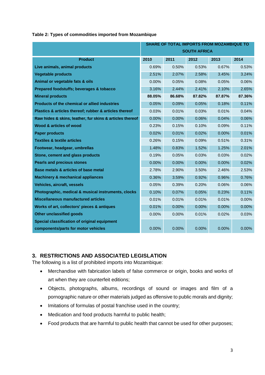|  | Table 2: Types of commodities imported from Mozambique |  |  |
|--|--------------------------------------------------------|--|--|
|  |                                                        |  |  |

|                                                          | <b>SHARE OF TOTAL IMPORTS FROM MOZAMBIQUE TO</b> |        |                     |          |          |
|----------------------------------------------------------|--------------------------------------------------|--------|---------------------|----------|----------|
|                                                          |                                                  |        | <b>SOUTH AFRICA</b> |          |          |
| <b>Product</b>                                           | 2010                                             | 2011   | 2012                | 2013     | 2014     |
| Live animals, animal products                            | 0.69%                                            | 0.50%  | 0.53%               | 0.67%    | 0.53%    |
| <b>Vegetable products</b>                                | 2.51%                                            | 2.07%  | 2.58%               | 3.45%    | 3.24%    |
| Animal or vegetable fats & oils                          | $0.00\%$                                         | 0.05%  | 0.08%               | 0.05%    | $0.06\%$ |
| Prepared foodstuffs; beverages & tobacco                 | 3.16%                                            | 2.44%  | 2.41%               | 2.10%    | 2.65%    |
| <b>Mineral products</b>                                  | 88.05%                                           | 86.68% | 87.82%              | 87.87%   | 87.36%   |
| Products of the chemical or allied industries            | 0.05%                                            | 0.09%  | 0.05%               | 0.18%    | 0.11%    |
| Plastics & articles thereof; rubber & articles thereof   | 0.03%                                            | 0.01%  | 0.03%               | 0.01%    | 0.04%    |
| Raw hides & skins, leather, fur skins & articles thereof | $0.00\%$                                         | 0.00%  | 0.06%               | 0.04%    | 0.06%    |
| Wood & articles of wood                                  | 0.23%                                            | 0.15%  | 0.10%               | 0.09%    | 0.11%    |
| <b>Paper products</b>                                    | 0.02%                                            | 0.01%  | 0.02%               | $0.00\%$ | 0.01%    |
| <b>Textiles &amp; textile articles</b>                   | 0.26%                                            | 0.15%  | 0.09%               | 0.51%    | 0.31%    |
| Footwear, headgear, umbrellas                            | 1.48%                                            | 0.83%  | 1.52%               | 1.25%    | 2.01%    |
| Stone, cement and glass products                         | 0.19%                                            | 0.05%  | 0.03%               | 0.03%    | 0.02%    |
| <b>Pearls and precious stones</b>                        | 0.00%                                            | 0.00%  | 0.00%               | 0.00%    | 0.02%    |
| Base metals & articles of base metal                     | 2.78%                                            | 2.90%  | 3.50%               | 2.46%    | 2.53%    |
| <b>Machinery &amp; mechanical appliances</b>             | 0.36%                                            | 3.59%  | 0.92%               | 0.96%    | 0.76%    |
| <b>Vehicles, aircraft, vessels</b>                       | 0.05%                                            | 0.39%  | 0.20%               | 0.06%    | 0.06%    |
| Photographic, medical & musical instruments, clocks      | 0.10%                                            | 0.07%  | 0.05%               | 0.23%    | 0.11%    |
| <b>Miscellaneous manufactured articles</b>               | 0.01%                                            | 0.01%  | 0.01%               | 0.01%    | 0.00%    |
| Works of art, collectors' pieces & antiques              | 0.01%                                            | 0.00%  | 0.00%               | 0.00%    | 0.00%    |
| <b>Other unclassified goods</b>                          | 0.00%                                            | 0.00%  | 0.01%               | 0.02%    | 0.03%    |
| Special classification of original equipment             |                                                  |        |                     |          |          |
| components/parts for motor vehicles                      | 0.00%                                            | 0.00%  | 0.00%               | 0.00%    | $0.00\%$ |

## <span id="page-3-0"></span>**3. RESTRICTIONS AND ASSOCIATED LEGISLATION**

The following is a list of prohibited imports into Mozambique:

- Merchandise with fabrication labels of false commerce or origin, books and works of art when they are counterfeit editions;
- Objects, photographs, albums, recordings of sound or images and film of a pornographic nature or other materials judged as offensive to public morals and dignity;
- Imitations of formulas of postal franchise used in the country;
- Medication and food products harmful to public health;
- Food products that are harmful to public health that cannot be used for other purposes;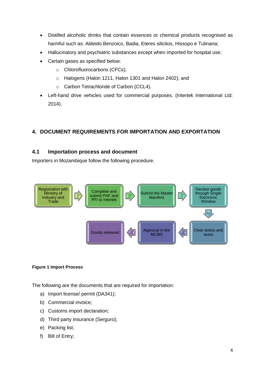- Distilled alcoholic drinks that contain essences or chemical products recognised as harmful such as: Aldeido Benzoico, Badia, Eteres silicitos, Hissopo e Tulinana;
- Hallucinatory and psychiatric substances except when imported for hospital use;
- Certain gases as specified below:
	- o Chlorofluorocarbons (CFCs);
	- o Halogens (Halon 1211, Halon 1301 and Halon 2402); and
	- o Carbon Tetrachloride of Carbon (CCL4).
- Left-hand drive vehicles used for commercial purposes. (Intertek International Ltd: 2014).

## <span id="page-4-0"></span>**4. DOCUMENT REQUIREMENTS FOR IMPORTATION AND EXPORTATION**

### <span id="page-4-1"></span>**4.1 Importation process and document**

Importers in Mozambique follow the following procedure.



#### **Figure 1 Import Process**

The following are the documents that are required for importation:

- a) Import license/ permit (DA341);
- b) Commercial invoice;
- c) Customs import declaration;
- d) Third party insurance (Serguro);
- e) Packing list;
- f) Bill of Entry;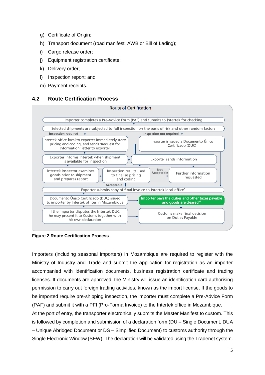- g) Certificate of Origin;
- h) Transport document (road manifest, AWB or Bill of Lading);
- i) Cargo release order;
- j) Equipment registration certificate;
- k) Delivery order;
- l) Inspection report; and
- m) Payment receipts.

## <span id="page-5-0"></span>**4.2 Route Certification Process**



**Figure 2 Route Certification Process**

Importers (including seasonal importers) in Mozambique are required to register with the Ministry of Industry and Trade and submit the application for registration as an importer accompanied with identification documents, business registration certificate and trading licenses. If documents are approved, the Ministry will issue an identification card authorising permission to carry out foreign trading activities, known as the import license. If the goods to be imported require pre-shipping inspection, the importer must complete a Pre-Advice Form (PAF) and submit it with a PFI (Pro-Forma Invoice) to the Intertek office in Mozambique.

At the port of entry, the transporter electronically submits the Master Manifest to custom. This is followed by completion and submission of a declaration form (DU – Single Document, DUA – Unique Abridged Document or DS – Simplified Document) to customs authority through the Single Electronic Window (SEW). The declaration will be validated using the Tradenet system.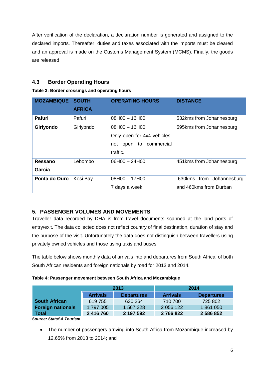After verification of the declaration, a declaration number is generated and assigned to the declared imports. Thereafter, duties and taxes associated with the imports must be cleared and an approval is made on the Customs Management System (MCMS). Finally, the goods are released.

## <span id="page-6-0"></span>**4.3 Border Operating Hours**

### **Table 3: Border crossings and operating hours**

| <b>MOZAMBIQUE</b> | <b>SOUTH</b><br><b>AFRICA</b> | <b>OPERATING HOURS</b>                                                                        | <b>DISTANCE</b>                                    |
|-------------------|-------------------------------|-----------------------------------------------------------------------------------------------|----------------------------------------------------|
| Pafuri            | Pafuri                        | $08H00 - 16H00$                                                                               | 532kms from Johannesburg                           |
| Giriyondo         | Giriyondo                     | $08H00 - 16H00$<br>Only open for 4x4 vehicles,<br>commercial<br>to<br>open<br>not<br>traffic. | 595kms from Johannesburg                           |
| Ressano<br>Garcia | Lebombo                       | $06H00 - 24H00$                                                                               | 451kms from Johannesburg                           |
| Ponta do Ouro     | Kosi Bay                      | $08H00 - 17H00$<br>7 days a week                                                              | 630kms from Johannesburg<br>and 460kms from Durban |

## <span id="page-6-1"></span>**5. PASSENGER VOLUMES AND MOVEMENTS**

Traveller data recorded by DHA is from travel documents scanned at the land ports of entry/exit. The data collected does not reflect country of final destination, duration of stay and the purpose of the visit. Unfortunately the data does not distinguish between travellers using privately owned vehicles and those using taxis and buses.

The table below shows monthly data of arrivals into and departures from South Africa, of both South African residents and foreign nationals by road for 2013 and 2014.

|  |  | Table 4: Passenger movement between South Africa and Mozambique |  |  |
|--|--|-----------------------------------------------------------------|--|--|
|--|--|-----------------------------------------------------------------|--|--|

|                          |                                      | 2013      | 2014            |                   |  |
|--------------------------|--------------------------------------|-----------|-----------------|-------------------|--|
|                          | <b>Arrivals</b><br><b>Departures</b> |           | <b>Arrivals</b> | <b>Departures</b> |  |
| <b>South African</b>     | 619 755                              | 630 264   | 710 700         | 725 802           |  |
| <b>Foreign nationals</b> | 1797005                              | 1 567 328 | 2 056 122       | 1861050           |  |
| <b>Total</b>             | 2 416 760                            | 2 197 592 | 2766822         | 2 586 852         |  |

*Source: StatsSA Tourism* 

• The number of passengers arriving into South Africa from Mozambique increased by 12.65% from 2013 to 2014; and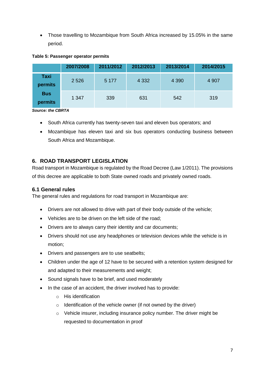Those travelling to Mozambique from South Africa increased by 15.05% in the same period.

#### **Table 5: Passenger operator permits**

|                       | 2007/2008 | 2011/2012 | 2012/2013 | 2013/2014 | 2014/2015 |
|-----------------------|-----------|-----------|-----------|-----------|-----------|
| Taxi<br>permits       | 2 5 2 6   | 5 1 7 7   | 4 3 3 2   | 4 3 9 0   | 4 9 0 7   |
| <b>Bus</b><br>permits | 1 3 4 7   | 339       | 631       | 542       | 319       |

*Source: the CBRTA*

- South Africa currently has twenty-seven taxi and eleven bus operators; and
- Mozambique has eleven taxi and six bus operators conducting business between South Africa and Mozambique.

# <span id="page-7-0"></span>**6. ROAD TRANSPORT LEGISLATION**

Road transport in Mozambique is regulated by the Road Decree (Law 1/2011). The provisions of this decree are applicable to both State owned roads and privately owned roads.

## <span id="page-7-1"></span>**6.1 General rules**

The general rules and regulations for road transport in Mozambique are:

- Drivers are not allowed to drive with part of their body outside of the vehicle;
- Vehicles are to be driven on the left side of the road;
- Drivers are to always carry their identity and car documents;
- Drivers should not use any headphones or television devices while the vehicle is in motion;
- Drivers and passengers are to use seatbelts;
- Children under the age of 12 have to be secured with a retention system designed for and adapted to their measurements and weight;
- Sound signals have to be brief, and used moderately
- In the case of an accident, the driver involved has to provide:
	- o His identification
	- $\circ$  Identification of the vehicle owner (if not owned by the driver)
	- o Vehicle insurer, including insurance policy number. The driver might be requested to documentation in proof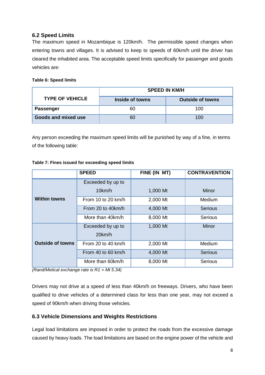## <span id="page-8-0"></span>**6.2 Speed Limits**

The maximum speed in Mozambique is 120km/h. The permissible speed changes when entering towns and villages. It is advised to keep to speeds of 60km/h until the driver has cleared the inhabited area. The acceptable speed limits specifically for passenger and goods vehicles are:

**Table 6: Speed limits**

|                        |                 | <b>SPEED IN KM/H</b>    |
|------------------------|-----------------|-------------------------|
| <b>TYPE OF VEHICLE</b> | Inside of towns | <b>Outside of towns</b> |
| <b>Passenger</b>       | 60              | 100                     |
| Goods and mixed use    |                 | 100                     |

Any person exceeding the maximum speed limits will be punished by way of a fine, in terms of the following table:

|                         | <b>SPEED</b>       | FINE (IN MT) | <b>CONTRAVENTION</b> |
|-------------------------|--------------------|--------------|----------------------|
|                         | Exceeded by up to  |              |                      |
|                         | 10km/h             | 1,000 Mt     | Minor                |
| <b>Within towns</b>     | From 10 to 20 km/h | 2,000 Mt     | Medium               |
|                         | From 20 to 40km/h  | 4,000 Mt     | <b>Serious</b>       |
|                         | More than 40km/h   | 8,000 Mt     | <b>Serious</b>       |
|                         | Exceeded by up to  | 1,000 Mt     | <b>Minor</b>         |
|                         | 20km/h             |              |                      |
| <b>Outside of towns</b> | From 20 to 40 km/h | 2,000 Mt     | Medium               |
|                         | From 40 to 60 km/h | 4,000 Mt     | <b>Serious</b>       |
|                         | More than 60km/h   | 8,000 Mt     | Serious              |

#### **Table 7: Fines issued for exceeding speed limits**

*(Rand/Metical exchange rate is R1 = Mt 5.34)*

Drivers may not drive at a speed of less than 40km/h on freeways. Drivers, who have been qualified to drive vehicles of a determined class for less than one year, may not exceed a speed of 90km/h when driving those vehicles.

## <span id="page-8-1"></span>**6.3 Vehicle Dimensions and Weights Restrictions**

Legal load limitations are imposed in order to protect the roads from the excessive damage caused by heavy loads. The load limitations are based on the engine power of the vehicle and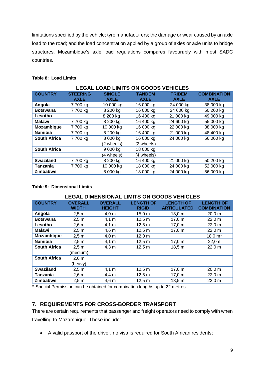limitations specified by the vehicle; tyre manufacturers; the damage or wear caused by an axle load to the road; and the load concentration applied by a group of axles or axle units to bridge structures. Mozambique's axle load regulations compares favourably with most SADC countries.

#### **Table 8: Load Limits**

| <b>LEGAL LOAD LIMITS ON GOODS VEHICLES</b> |                 |               |               |               |                    |  |  |
|--------------------------------------------|-----------------|---------------|---------------|---------------|--------------------|--|--|
| <b>COUNTRY</b>                             | <b>STEERING</b> | <b>SINGLE</b> | <b>TANDEM</b> | <b>TRIDEM</b> | <b>COMBINATION</b> |  |  |
|                                            | <b>AXLE</b>     | <b>AXLE</b>   | <b>AXLE</b>   | <b>AXLE</b>   | <b>AXLE</b>        |  |  |
| Angola                                     | 7 700 kg        | 10 000 kg     | 16 000 kg     | 24 000 kg     | 38 000 kg          |  |  |
| <b>Botswana</b>                            | 7700 kg         | 8 200 kg      | 16 000 kg     | 24 600 kg     | 50 200 kg          |  |  |
| Lesotho                                    |                 | 8 200 kg      | 16 400 kg     | 21 000 kg     | 49 000 kg          |  |  |
| <b>Malawi</b>                              | 7700 kg         | 8 200 kg      | 16 400 kg     | 24 600 kg     | 55 000 kg          |  |  |
| Mozambique                                 | 7700 kg         | 10 000 kg     | 16 000 kg     | 22 000 kg     | 38 000 kg          |  |  |
| <b>Namibia</b>                             | 7700 kg         | 8 200 kg      | 16 400 kg     | 21 000 kg     | 48 400 kg          |  |  |
| <b>South Africa</b>                        | 7700 kg         | 8 000 kg      | 16 000 kg     | 24 000 kg     | 56 000 kg          |  |  |
|                                            |                 | (2 wheels)    | (2 wheels)    |               |                    |  |  |
| <b>South Africa</b>                        |                 | 9 000 kg      | 18 000 kg     |               |                    |  |  |
|                                            |                 | (4 wheels)    | (4 wheels)    |               |                    |  |  |
| <b>Swaziland</b>                           | 7700 kg         | 8 200 kg      | 16 400 kg     | 21 000 kg     | 50 200 kg          |  |  |
| Tanzania                                   | 7 700 kg        | 10 000 kg     | 18 000 kg     | 24 000 kg     | 52 000 kg          |  |  |
| <b>Zimbabwe</b>                            |                 | 8 000 kg      | 18 000 kg     | 24 000 kg     | 56 000 kg          |  |  |

#### **Table 9: Dimensional Limits**

| <b>LEGAL DIMENSIONAL LIMITS ON GOODS VEHICLES</b> |                         |                                 |                                  |                                        |                                        |  |  |
|---------------------------------------------------|-------------------------|---------------------------------|----------------------------------|----------------------------------------|----------------------------------------|--|--|
| <b>COUNTRY</b>                                    | <b>OVERALL</b><br>WIDTH | <b>OVERALL</b><br><b>HEIGHT</b> | <b>LENGTH OF</b><br><b>RIGID</b> | <b>LENGTH OF</b><br><b>ARTICULATED</b> | <b>LENGTH OF</b><br><b>COMBINATION</b> |  |  |
| Angola                                            | 2,5 m                   | $4,0 \; m$                      | 15,0 m                           | 18,0 m                                 | 20,0 m                                 |  |  |
| <b>Botswana</b>                                   | 2,5m                    | $4,1 \; m$                      | 12,5 m                           | 17,0 m                                 | 22,0 m                                 |  |  |
| Lesotho                                           | $2,6 \text{ m}$         | $4,1 \; m$                      | 12,5 m                           | 17,0 m                                 | 22,0 m                                 |  |  |
| Malawi                                            | 2,5 m                   | 4,6 m                           | 12,5 m                           | 17,0 m                                 | 22,0 m                                 |  |  |
| Mozambique                                        | 2,5 m                   | $4,0 \; m$                      | $12,0 \; m$                      |                                        | $18,0 m*$                              |  |  |
| <b>Namibia</b>                                    | 2,5 m                   | $4,1 \; m$                      | 12,5 m                           | 17,0 m                                 | 22,0m                                  |  |  |
| <b>South Africa</b>                               | 2,5 m                   | $4,3 \text{ m}$                 | 12,5 m                           | 18,5 m                                 | 22,0 m                                 |  |  |
|                                                   | (medium)                |                                 |                                  |                                        |                                        |  |  |
| <b>South Africa</b>                               | $2,6 \text{ m}$         |                                 |                                  |                                        |                                        |  |  |
|                                                   | (heavy)                 |                                 |                                  |                                        |                                        |  |  |
| <b>Swaziland</b>                                  | 2,5 m                   | $4,1 \; m$                      | 12,5 m                           | 17,0 m                                 | 20,0 m                                 |  |  |
| Tanzania                                          | $2,6 \text{ m}$         | $4,4 \, m$                      | 12,5 m                           | 17,0 m                                 | 22,0 m                                 |  |  |
| <b>Zimbabwe</b>                                   | 2,5m                    | $4,6 \text{ m}$                 | 12,5 m                           | 18,5 m                                 | 22,0 m                                 |  |  |
|                                                   |                         |                                 |                                  |                                        |                                        |  |  |

\* Special Permission can be obtained for combination lengths up to 22 metres

## <span id="page-9-0"></span>**7. REQUIREMENTS FOR CROSS-BORDER TRANSPORT**

There are certain requirements that passenger and freight operators need to comply with when travelling to Mozambique. These include:

A valid passport of the driver, no visa is required for South African residents;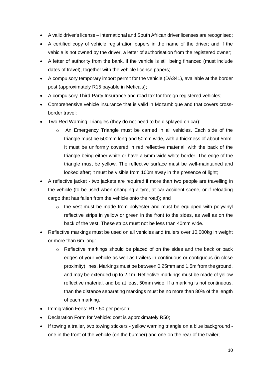- A valid driver's license international and South African driver licenses are recognised;
- A certified copy of vehicle registration papers in the name of the driver; and if the vehicle is not owned by the driver, a letter of authorisation from the registered owner;
- A letter of authority from the bank, if the vehicle is still being financed (must include dates of travel), together with the vehicle license papers;
- A compulsory temporary import permit for the vehicle (DA341), available at the border post (approximately R15 payable in Meticals);
- A compulsory Third-Party Insurance and road tax for foreign registered vehicles;
- Comprehensive vehicle insurance that is valid in Mozambique and that covers crossborder travel;
- Two Red Warning Triangles (they do not need to be displayed on car):
	- $\circ$  An Emergency Triangle must be carried in all vehicles. Each side of the triangle must be 500mm long and 50mm wide, with a thickness of about 5mm. It must be uniformly covered in red reflective material, with the back of the triangle being either white or have a 5mm wide white border. The edge of the triangle must be yellow. The reflective surface must be well-maintained and looked after; it must be visible from 100m away in the presence of light;
- A reflective jacket two jackets are required if more than two people are travelling in the vehicle (to be used when changing a tyre, at car accident scene, or if reloading cargo that has fallen from the vehicle onto the road); and
	- o the vest must be made from polyester and must be equipped with polyvinyl reflective strips in yellow or green in the front to the sides, as well as on the back of the vest. These strips must not be less than 40mm wide.
- Reflective markings must be used on all vehicles and trailers over 10,000kg in weight or more than 6m long:
	- o Reflective markings should be placed of on the sides and the back or back edges of your vehicle as well as trailers in continuous or contiguous (in close proximity) lines. Markings must be between 0.25mm and 1.5m from the ground, and may be extended up to 2.1m. Reflective markings must be made of yellow reflective material, and be at least 50mm wide. If a marking is not continuous, than the distance separating markings must be no more than 80% of the length of each marking.
- Immigration Fees: R17.50 per person;
- Declaration Form for Vehicle: cost is approximately R50;
- If towing a trailer, two towing stickers yellow warning triangle on a blue background one in the front of the vehicle (on the bumper) and one on the rear of the trailer;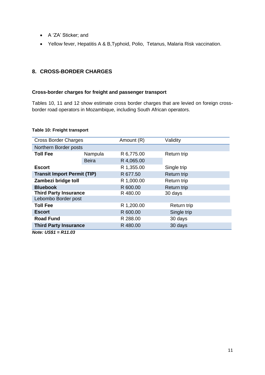- A 'ZA' Sticker; and
- Yellow fever, Hepatitis A & B,Typhoid, Polio, Tetanus, Malaria Risk vaccination.

## <span id="page-11-0"></span>**8. CROSS-BORDER CHARGES**

#### **Cross-border charges for freight and passenger transport**

Tables 10, 11 and 12 show estimate cross border charges that are levied on foreign crossborder road operators in Mozambique, including South African operators.

#### **Table 10: Freight transport**

| <b>Cross Border Charges</b>        |              | Amount (R) | Validity           |  |
|------------------------------------|--------------|------------|--------------------|--|
| Northern Border posts              |              |            |                    |  |
| <b>Toll Fee</b>                    | Nampula      | R 6,775.00 | Return trip        |  |
|                                    | <b>Beira</b> | R 4,065.00 |                    |  |
| <b>Escort</b>                      |              | R 1,355.00 | Single trip        |  |
| <b>Transit Import Permit (TIP)</b> |              | R 677.50   | <b>Return trip</b> |  |
| Zambezi bridge toll                |              | R 1,000.00 | Return trip        |  |
| <b>Bluebook</b>                    |              | R 600.00   | <b>Return trip</b> |  |
| <b>Third Party Insurance</b>       |              | R480.00    | 30 days            |  |
| Lebombo Border post                |              |            |                    |  |
| <b>Toll Fee</b>                    |              | R 1,200.00 | Return trip        |  |
| <b>Escort</b>                      |              | R 600.00   | Single trip        |  |
| <b>Road Fund</b>                   |              | R 288.00   | 30 days            |  |
| <b>Third Party Insurance</b>       |              | R 480.00   | 30 days            |  |

*Note: US\$1 = R11.03*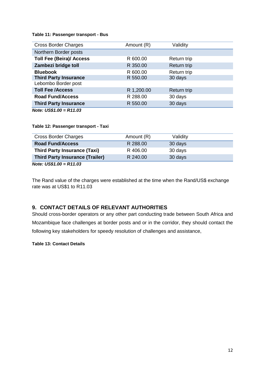#### **Table 11: Passenger transport - Bus**

| <b>Cross Border Charges</b>     | Amount (R) | Validity    |  |
|---------------------------------|------------|-------------|--|
| Northern Border posts           |            |             |  |
| <b>Toll Fee (Beira)/ Access</b> | R 600.00   | Return trip |  |
| Zambezi bridge toll             | R 350.00   | Return trip |  |
| <b>Bluebook</b>                 | R 600.00   | Return trip |  |
| <b>Third Party Insurance</b>    | R 550.00   | 30 days     |  |
| Lebombo Border post             |            |             |  |
| <b>Toll Fee /Access</b>         | R 1,200.00 | Return trip |  |
| <b>Road Fund/Access</b>         | R 288.00   | 30 days     |  |
| <b>Third Party Insurance</b>    | R 550.00   | 30 days     |  |
| Note: $US$1.00 = R11.03$        |            |             |  |

#### **Table 12: Passenger transport - Taxi**

| <b>Cross Border Charges</b>            | Amount (R) | Validity |  |  |
|----------------------------------------|------------|----------|--|--|
| <b>Road Fund/Access</b>                | R 288.00   | 30 days  |  |  |
| <b>Third Party Insurance (Taxi)</b>    | R 406.00   | 30 days  |  |  |
| <b>Third Party Insurance (Trailer)</b> | R 240.00   | 30 days  |  |  |
| .<br>-----                             |            |          |  |  |

*Note: US\$1.00 = R11.03*

The Rand value of the charges were established at the time when the Rand/US\$ exchange rate was at US\$1 to R11.03

## <span id="page-12-0"></span>**9. CONTACT DETAILS OF RELEVANT AUTHORITIES**

Should cross-border operators or any other part conducting trade between South Africa and Mozambique face challenges at border posts and or in the corridor, they should contact the following key stakeholders for speedy resolution of challenges and assistance,

#### **Table 13: Contact Details**